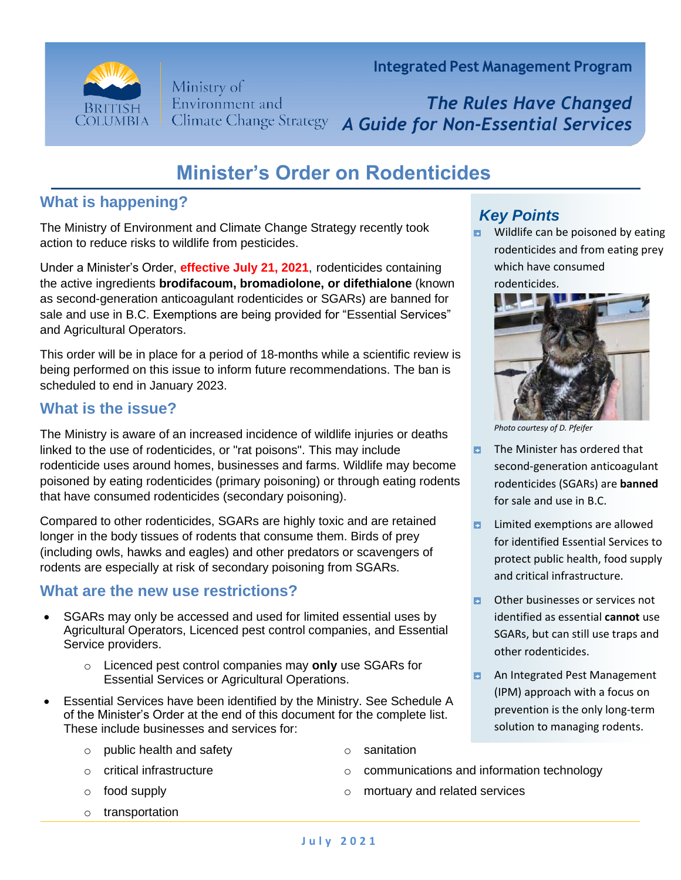

Ministry of Environment and **Climate Change Strategy**  **Integrated Pest Management Program**

*The Rules Have Changed A Guide for Non-Essential Services*

# **Minister's Order on Rodenticides**

# **What is happening?**

The Ministry of Environment and Climate Change Strategy recently took action to reduce risks to wildlife from pesticides.

Under a Minister's Order, **effective July 21, 2021**, rodenticides containing the active ingredients **brodifacoum, bromadiolone, or difethialone** (known as second-generation anticoagulant rodenticides or SGARs) are banned for sale and use in B.C. Exemptions are being provided for "Essential Services" and Agricultural Operators.

This order will be in place for a period of 18-months while a scientific review is being performed on this issue to inform future recommendations. The ban is scheduled to end in January 2023.

# **What is the issue?**

The Ministry is aware of an increased incidence of wildlife injuries or deaths linked to the use of rodenticides, or "rat poisons". This may include rodenticide uses around homes, businesses and farms. Wildlife may become poisoned by eating rodenticides (primary poisoning) or through eating rodents that have consumed rodenticides (secondary poisoning).

Compared to other rodenticides, SGARs are highly toxic and are retained longer in the body tissues of rodents that consume them. Birds of prey (including owls, hawks and eagles) and other predators or scavengers of rodents are especially at risk of secondary poisoning from SGARs.

#### **What are the new use restrictions?**

- SGARs may only be accessed and used for limited essential uses by Agricultural Operators, Licenced pest control companies, and Essential Service providers.
	- o Licenced pest control companies may **only** use SGARs for Essential Services or Agricultural Operations.
- Essential Services have been identified by the Ministry. See Schedule A of the Minister's Order at the end of this document for the complete list. These include businesses and services for:
	- o public health and safety
	- o critical infrastructure
	- o food supply
	- o transportation
- *Key Points*
- Ð Wildlife can be poisoned by eating rodenticides and from eating prey which have consumed rodenticides.



*Photo courtesy of D. Pfeifer*

- The Minister has ordered that Ы second-generation anticoagulant rodenticides (SGARs) are **banned** for sale and use in B.C.
- Limited exemptions are allowed for identified Essential Services to protect public health, food supply and critical infrastructure.
- Other businesses or services not ы identified as essential **cannot** use SGARs, but can still use traps and other rodenticides.
- Ы An Integrated Pest Management (IPM) approach with a focus on prevention is the only long-term solution to managing rodents.
- o sanitation
- o communications and information technology
- o mortuary and related services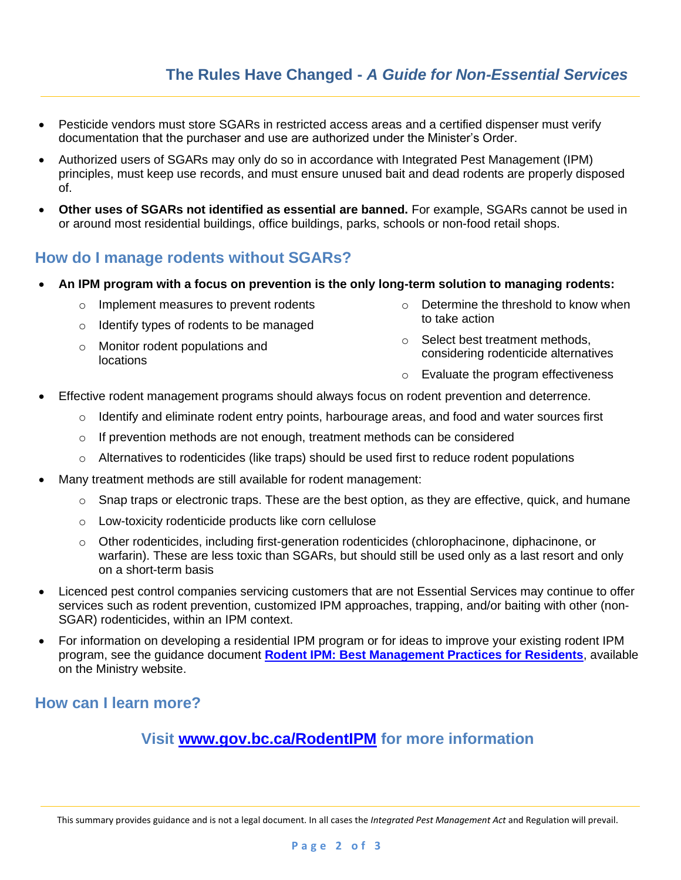- Pesticide vendors must store SGARs in restricted access areas and a certified dispenser must verify documentation that the purchaser and use are authorized under the Minister's Order.
- Authorized users of SGARs may only do so in accordance with Integrated Pest Management (IPM) principles, must keep use records, and must ensure unused bait and dead rodents are properly disposed of.
- **Other uses of SGARs not identified as essential are banned.** For example, SGARs cannot be used in or around most residential buildings, office buildings, parks, schools or non-food retail shops.

# **How do I manage rodents without SGARs?**

- **An IPM program with a focus on prevention is the only long-term solution to managing rodents:**
	- o Implement measures to prevent rodents
	- o Identify types of rodents to be managed
	- o Monitor rodent populations and locations
- o Determine the threshold to know when to take action
- o Select best treatment methods, considering rodenticide alternatives
- o Evaluate the program effectiveness
- Effective rodent management programs should always focus on rodent prevention and deterrence.
	- $\circ$  Identify and eliminate rodent entry points, harbourage areas, and food and water sources first
	- $\circ$  If prevention methods are not enough, treatment methods can be considered
	- o Alternatives to rodenticides (like traps) should be used first to reduce rodent populations
- Many treatment methods are still available for rodent management:
	- $\circ$  Snap traps or electronic traps. These are the best option, as they are effective, quick, and humane
	- o Low-toxicity rodenticide products like corn cellulose
	- $\circ$  Other rodenticides, including first-generation rodenticides (chlorophacinone, diphacinone, or warfarin). These are less toxic than SGARs, but should still be used only as a last resort and only on a short-term basis
- Licenced pest control companies servicing customers that are not Essential Services may continue to offer services such as rodent prevention, customized IPM approaches, trapping, and/or baiting with other (non-SGAR) rodenticides, within an IPM context.
- For information on developing a residential IPM program or for ideas to improve your existing rodent IPM program, see the guidance document **[Rodent IPM: Best Management Practices for Residents](https://www2.gov.bc.ca/assets/download/FD50D98100A84174B7FB4F43BEE8CDCC)**, available on the Ministry website.

# **How can I learn more?**

# **Visit [www.gov.bc.ca/RodentIPM](http://www.gov.bc.ca/RodentIPM) for more information**

This summary provides guidance and is not a legal document. In all cases the *Integrated Pest Management Act* and Regulation will prevail.